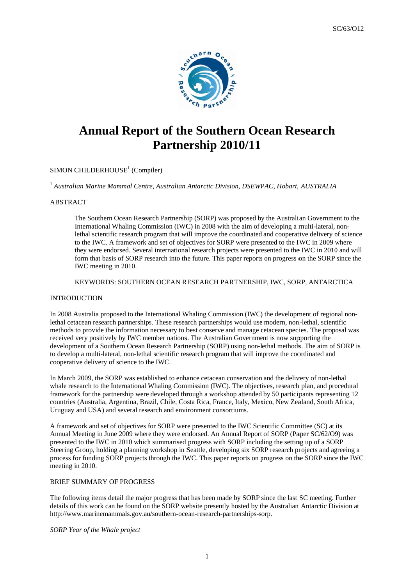

# **Annual Report of the Southern Ocean Research** Partnership 2010/11

## SIMON CHILDERHOUSE<sup>1</sup> (Compiler)

<sup>1</sup> Australian Marine Mammal Centre, Australian Antarctic Division, DSEWPAC, Hobart, AUSTRALIA

## **ABSTRACT**

The Southern Ocean Research Partnership (SORP) was proposed by the Australian Government to the International Whaling Commission (IWC) in 2008 with the aim of developing a multi-lateral, nonlethal scientific research program that will improve the coordinated and cooperative delivery of science to the IWC. A framework and set of objectives for SORP were presented to the IWC in 2009 where they were endorsed. Several international research projects were presented to the IWC in 2010 and will form that basis of SORP research into the future. This paper reports on progress on the SORP since the IWC meeting in 2010.

## KEYWORDS: SOUTHERN OCEAN RESEARCH PARTNERSHIP, IWC, SORP, ANTARCTICA

#### **INTRODUCTION**

In 2008 Australia proposed to the International Whaling Commission (IWC) the development of regional nonlethal cetacean research partnerships. These research partnerships would use modern, non-lethal, scientific methods to provide the information necessary to best conserve and manage cetacean species. The proposal was received very positively by IWC member nations. The Australian Government is now supporting the development of a Southern Ocean Research Partnership (SORP) using non-lethal methods. The aim of SORP is to develop a multi-lateral, non-lethal scientific research program that will improve the coordinated and cooperative delivery of science to the IWC.

In March 2009, the SORP was established to enhance cetacean conservation and the delivery of non-lethal whale research to the International Whaling Commission (IWC). The objectives, research plan, and procedural framework for the partnership were developed through a workshop attended by 50 participants representing 12 countries (Australia, Argentina, Brazil, Chile, Costa Rica, France, Italy, Mexico, New Zealand, South Africa, Uruguay and USA) and several research and environment consortiums.

A framework and set of objectives for SORP were presented to the IWC Scientific Committee (SC) at its Annual Meeting in June 2009 where they were endorsed. An Annual Report of SORP (Paper SC/62/O9) was presented to the IWC in 2010 which summarised progress with SORP including the setting up of a SORP Steering Group, holding a planning workshop in Seattle, developing six SORP research projects and agreeing a process for funding SORP projects through the IWC. This paper reports on progress on the SORP since the IWC meeting in 2010.

## BRIEF SUMMARY OF PROGRESS

The following items detail the major progress that has been made by SORP since the last SC meeting. Further details of this work can be found on the SORP website presently hosted by the Australian Antarctic Division at http://www.marinemammals.gov.au/southern-ocean-research-partnerships-sorp.

SORP Year of the Whale project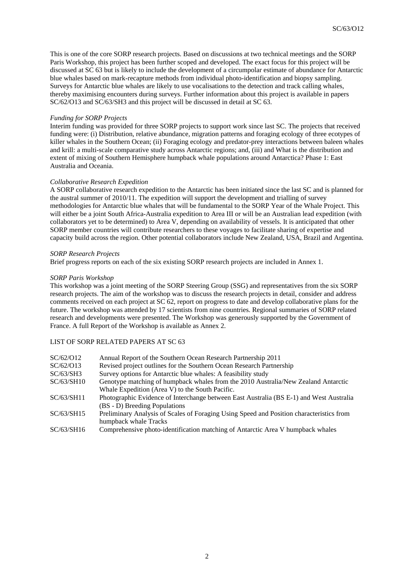This is one of the core SORP research projects. Based on discussions at two technical meetings and the SORP Paris Workshop, this project has been further scoped and developed. The exact focus for this project will be discussed at SC 63 but is likely to include the development of a circumpolar estimate of abundance for Antarctic blue whales based on mark-recapture methods from individual photo-identification and biopsy sampling. Surveys for Antarctic blue whales are likely to use vocalisations to the detection and track calling whales, thereby maximising encounters during surveys. Further information about this project is available in papers SC/62/O13 and SC/63/SH3 and this project will be discussed in detail at SC 63.

#### *Funding for SORP Projects*

Interim funding was provided for three SORP projects to support work since last SC. The projects that received funding were: (i) Distribution, relative abundance, migration patterns and foraging ecology of three ecotypes of killer whales in the Southern Ocean; (ii) Foraging ecology and predator-prey interactions between baleen whales and krill: a multi-scale comparative study across Antarctic regions; and, (iii) and What is the distribution and extent of mixing of Southern Hemisphere humpback whale populations around Antarctica? Phase 1: East Australia and Oceania.

## *Collaborative Research Expedition*

A SORP collaborative research expedition to the Antarctic has been initiated since the last SC and is planned for the austral summer of 2010/11. The expedition will support the development and trialling of survey methodologies for Antarctic blue whales that will be fundamental to the SORP Year of the Whale Project. This will either be a joint South Africa-Australia expedition to Area III or will be an Australian lead expedition (with collaborators yet to be determined) to Area V, depending on availability of vessels. It is anticipated that other SORP member countries will contribute researchers to these voyages to facilitate sharing of expertise and capacity build across the region. Other potential collaborators include New Zealand, USA, Brazil and Argentina.

## *SORP Research Projects*

Brief progress reports on each of the six existing SORP research projects are included in Annex 1.

## *SORP Paris Workshop*

This workshop was a joint meeting of the SORP Steering Group (SSG) and representatives from the six SORP research projects. The aim of the workshop was to discuss the research projects in detail, consider and address comments received on each project at SC 62, report on progress to date and develop collaborative plans for the future. The workshop was attended by 17 scientists from nine countries. Regional summaries of SORP related research and developments were presented. The Workshop was generously supported by the Government of France. A full Report of the Workshop is available as Annex 2.

## LIST OF SORP RELATED PAPERS AT SC 63

| SC/62/O12  | Annual Report of the Southern Ocean Research Partnership 2011                            |  |
|------------|------------------------------------------------------------------------------------------|--|
| SC/62/O13  | Revised project outlines for the Southern Ocean Research Partnership                     |  |
| SC/63/SH3  | Survey options for Antarctic blue whales: A feasibility study                            |  |
| SC/63/SH10 | Genotype matching of humpback whales from the 2010 Australia/New Zealand Antarctic       |  |
|            | Whale Expedition (Area V) to the South Pacific.                                          |  |
| SC/63/SH11 | Photographic Evidence of Interchange between East Australia (BS E-1) and West Australia  |  |
|            | (BS - D) Breeding Populations                                                            |  |
| SC/63/SH15 | Preliminary Analysis of Scales of Foraging Using Speed and Position characteristics from |  |
|            | humpback whale Tracks                                                                    |  |
| SC/63/SH16 | Comprehensive photo-identification matching of Antarctic Area V humpback whales          |  |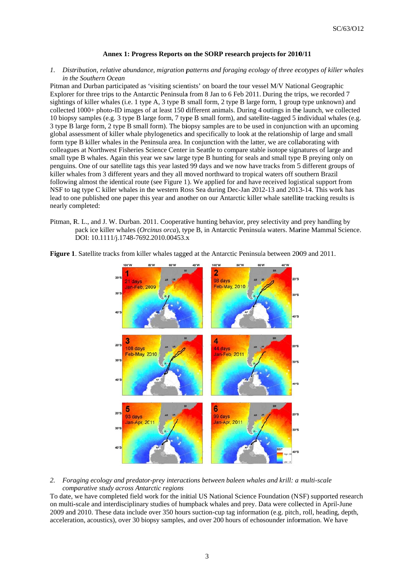#### Annex 1: Progress Reports on the SORP research projects for 2010/11

#### *1. Distr ribution, relat tive abundanc ce, migration p patterns and f foraging ecolo ogy of three ec cotypes of kill ler whales in the Southern Ocean*

Pitman and Durban participated as 'visiting scientists' on board the tour vessel M/V National Geographic Explorer for three trips to the Antarctic Peninsula from 8 Jan to 6 Feb 2011. During the trips, we recorded 7 sightings of killer whales (i.e. 1 type A, 3 type B small form, 2 type B large form, 1 group type unknown) and collected 1000+ photo-ID images of at least 150 different animals. During 4 outings in the launch, we collected 10 biopsy samples (e.g. 3 type B large form, 7 type B small form), and satellite-tagged 5 individual whales (e.g. 3 type B large form, 2 type B small form). The biopsy samples are to be used in conjunction with an upcoming global assessment of killer whale phylogenetics and specifically to look at the relationship of large and small form type B killer whales in the Peninsula area. In conjunction with the latter, we are collaborating with colleagues at Northwest Fisheries Science Center in Seattle to compare stable isotope signatures of large and small type B whales. Again this year we saw large type B hunting for seals and small type B preying only on penguins. One of our satellite tags this year lasted 99 days and we now have tracks from 5 different groups of killer whales from 3 different years and they all moved northward to tropical waters off southern Brazil following almost the identical route (see Figure 1). We applied for and have received logistical support from NSF to tag type C killer whales in the western Ross Sea during Dec-Jan 2012-13 and 2013-14. This work has lead to one published one paper this year and another on our Antarctic killer whale satellite tracking results is nearly completed:

Pitman, R. L., and J. W. Durban. 2011. Cooperative hunting behavior, prey selectivity and prey handling by pack ice killer whales (Orcinus orca), type B, in Antarctic Peninsula waters. Marine Mammal Science. DOI: 10.1111/j.1748-7692.2010.00453.x



Figure 1. Satellite tracks from killer whales tagged at the Antarctic Peninsula between 2009 and 2011.

## 2. *Foraging ecology and predator-prey interactions between baleen whales and krill: a multi-scale comparative study across Antarctic regions*

To date, we have completed field work for the initial US National Science Foundation (NSF) supported research on multi-scale and interdisciplinary studies of humpback whales and prey. Data were collected in April-June 2009 and 2010. These data include over 350 hours suction-cup tag information (e.g. pitch, roll, heading, depth, acceleration, acoustics), over 30 biopsy samples, and over 200 hours of echosounder information. We have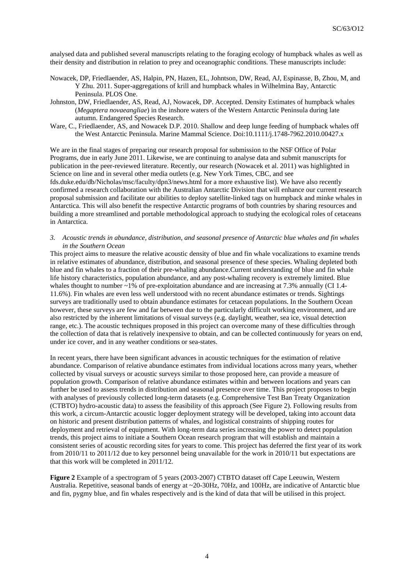analysed data and published several manuscripts relating to the foraging ecology of humpback whales as well as their density and distribution in relation to prey and oceanographic conditions. These manuscripts include:

- Nowacek, DP, Friedlaender, AS, Halpin, PN, Hazen, EL, Johntson, DW, Read, AJ, Espinasse, B, Zhou, M, and Y Zhu. 2011. Super-aggregations of krill and humpback whales in Wilhelmina Bay, Antarctic Peninsula. PLOS One.
- Johnston, DW, Friedlaender, AS, Read, AJ, Nowacek, DP. Accepted. Density Estimates of humpback whales (*Megaptera novaeangliae*) in the inshore waters of the Western Antarctic Peninsula during late autumn. Endangered Species Research.
- Ware, C., Friedlaender, AS, and Nowacek D.P. 2010. Shallow and deep lunge feeding of humpback whales off the West Antarctic Peninsula. Marine Mammal Science. Doi:10.1111/j.1748-7962.2010.00427.x

We are in the final stages of preparing our research proposal for submission to the NSF Office of Polar Programs, due in early June 2011. Likewise, we are continuing to analyse data and submit manuscripts for publication in the peer-reviewed literature. Recently, our research (Nowacek et al. 2011) was highlighted in Science on line and in several other media outlets (e.g. New York Times, CBC, and see fds.duke.edu/db/Nicholas/msc/faculty/dpn3/news.html for a more exhaustive list). We have also recently confirmed a research collaboration with the Australian Antarctic Division that will enhance our current research proposal submission and facilitate our abilities to deploy satellite-linked tags on humpback and minke whales in Antarctica. This will also benefit the respective Antarctic programs of both countries by sharing resources and building a more streamlined and portable methodological approach to studying the ecological roles of cetaceans in Antarctica.

*3. Acoustic trends in abundance, distribution, and seasonal presence of Antarctic blue whales and fin whales in the Southern Ocean* 

This project aims to measure the relative acoustic density of blue and fin whale vocalizations to examine trends in relative estimates of abundance, distribution, and seasonal presence of these species. Whaling depleted both blue and fin whales to a fraction of their pre-whaling abundance.Current understanding of blue and fin whale life history characteristics, population abundance, and any post-whaling recovery is extremely limited. Blue whales thought to number  $\sim$ 1% of pre-exploitation abundance and are increasing at 7.3% annually (CI 1.4-11.6%). Fin whales are even less well understood with no recent abundance estimates or trends. Sightings surveys are traditionally used to obtain abundance estimates for cetacean populations. In the Southern Ocean however, these surveys are few and far between due to the particularly difficult working environment, and are also restricted by the inherent limitations of visual surveys (e.g. daylight, weather, sea ice, visual detection range, etc.). The acoustic techniques proposed in this project can overcome many of these difficulties through the collection of data that is relatively inexpensive to obtain, and can be collected continuously for years on end, under ice cover, and in any weather conditions or sea-states.

In recent years, there have been significant advances in acoustic techniques for the estimation of relative abundance. Comparison of relative abundance estimates from individual locations across many years, whether collected by visual surveys or acoustic surveys similar to those proposed here, can provide a measure of population growth. Comparison of relative abundance estimates within and between locations and years can further be used to assess trends in distribution and seasonal presence over time. This project proposes to begin with analyses of previously collected long-term datasets (e.g. Comprehensive Test Ban Treaty Organization (CTBTO) hydro-acoustic data) to assess the feasibility of this approach (See Figure 2). Following results from this work, a circum-Antarctic acoustic logger deployment strategy will be developed, taking into account data on historic and present distribution patterns of whales, and logistical constraints of shipping routes for deployment and retrieval of equipment. With long-term data series increasing the power to detect population trends, this project aims to initiate a Southern Ocean research program that will establish and maintain a consistent series of acoustic recording sites for years to come. This project has deferred the first year of its work from 2010/11 to 2011/12 due to key personnel being unavailable for the work in 2010/11 but expectations are that this work will be completed in 2011/12.

**Figure 2** Example of a spectrogram of 5 years (2003-2007) CTBTO dataset off Cape Leeuwin, Western Australia. Repetitive, seasonal bands of energy at ~20-30Hz, 70Hz, and 100Hz, are indicative of Antarctic blue and fin, pygmy blue, and fin whales respectively and is the kind of data that will be utilised in this project.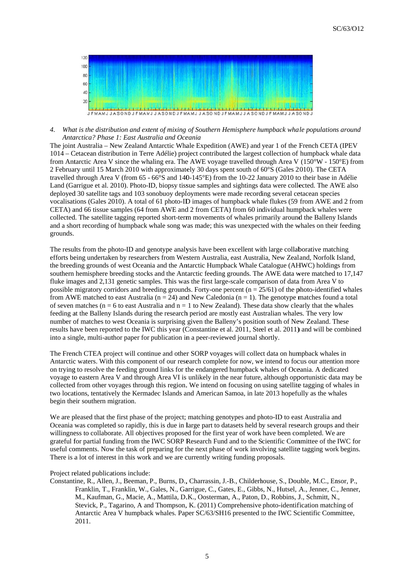

4. What is the distribution and extent of mixing of Southern Hemisphere humpback whale populations around Antarctica? Phase 1: East Australia and Oceania

The joint Australia – New Zealand Antarctic Whale Expedition (AWE) and year 1 of the French CETA (IPEV 1014 – Cetacean distribution in Terre Adélie) project contributed the largest collection of humpback whale data from Antarctic Area V since the whaling era. The AWE voyage travelled through Area V ( $150^{\circ}$ W -  $150^{\circ}$ E) from 2 February until 15 March 2010 with approximately 30 days spent south of 60°S (Gales 2010). The CETA travelled through Area V (from  $65 - 66^{\circ}$ S and 140-145 $^{\circ}$ E) from the 10-22 January 2010 to their base in Adélie Land (Garrigue et al. 2010). Photo-ID, biopsy tissue samples and sightings data were collected. The AWE also deployed 30 satellite tags and 103 sonobuoy deployments were made recording several cetacean species vocalisations (Gales 2010). A total of 61 photo-ID images of humpback whale flukes (59 from AWE and 2 from CETA) and 66 tissue samples (64 from AWE and 2 from CETA) from 60 individual humpback whales were collected. The satellite tagging reported short-term movements of whales primarily around the Balleny Islands and a short recording of humpback whale song was made; this was unexpected with the whales on their feeding grounds.

The results from the photo-ID and genotype analysis have been excellent with large collaborative matching efforts being undertaken by researchers from Western Australia, east Australia, New Zealand, Norfolk Island, the breeding grounds of west Oceania and the Antarctic Humpback Whale Catalogue (AHWC) holdings from southern hemisphere breeding stocks and the Antarctic feeding grounds. The AWE data were matched to 17,147 fluke images and 2,131 genetic samples. This was the first large-scale comparison of data from Area V to possible migratory corridors and breeding grounds. Forty-one percent ( $n = 25/61$ ) of the photo-identified whales from AWE matched to east Australia ( $n = 24$ ) and New Caledonia ( $n = 1$ ). The genotype matches found a total of seven matches ( $n = 6$  to east Australia and  $n = 1$  to New Zealand). These data show clearly that the whales feeding at the Balleny Islands during the research period are mostly east Australian whales. The very low number of matches to west Oceania is surprising given the Balleny's position south of New Zealand. These results have been reported to the IWC this year (Constantine et al. 2011, Steel et al. 2011) and will be combined into a single, multi-author paper for publication in a peer-reviewed journal shortly.

The French CTEA project will continue and other SORP voyages will collect data on humpback whales in Antarctic waters. With this component of our research complete for now, we intend to focus our attention more on trying to resolve the feeding ground links for the endangered humpback whales of Oceania. A dedicated voyage to eastern Area V and through Area VI is unlikely in the near future, although opportunistic data may be collected from other voyages through this region. We intend on focusing on using satellite tagging of whales in two locations, tentatively the Kermadec Islands and American Samoa, in late 2013 hopefully as the whales begin their southern migration.

We are pleased that the first phase of the project; matching genotypes and photo-ID to east Australia and Oceania was completed so rapidly, this is due in large part to datasets held by several research groups and their willingness to collaborate. All objectives proposed for the first year of work have been completed. We are grateful for partial funding from the IWC SORP Research Fund and to the Scientific Committee of the IWC for useful comments. Now the task of preparing for the next phase of work involving satellite tagging work begins. There is a lot of interest in this work and we are currently writing funding proposals.

Project related publications include:

Constantine, R., Allen, J., Beeman, P., Burns, D., Charrassin, J.-B., Childerhouse, S., Double, M.C., Ensor, P., Franklin, T., Franklin, W., Gales, N., Garrigue, C., Gates, E., Gibbs, N., Hutsel, A., Jenner, C., Jenner, M., Kaufman, G., Macie, A., Mattila, D.K., Oosterman, A., Paton, D., Robbins, J., Schmitt, N., Stevick, P., Tagarino, A and Thompson, K. (2011) Comprehensive photo-identification matching of Antarctic Area V humpback whales. Paper SC/63/SH16 presented to the IWC Scientific Committee, 2011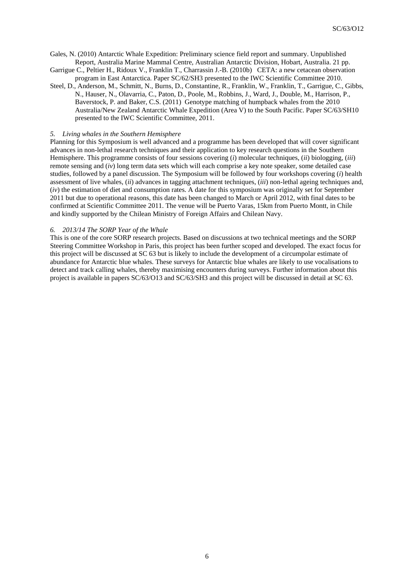Gales, N. (2010) Antarctic Whale Expedition: Preliminary science field report and summary. Unpublished Report, Australia Marine Mammal Centre, Australian Antarctic Division, Hobart, Australia. 21 pp.

Garrigue C., Peltier H., Ridoux V., Franklin T., Charrassin J.-B. (2010b) CETA: a new cetacean observation program in East Antarctica. Paper SC/62/SH3 presented to the IWC Scientific Committee 2010.

Steel, D., Anderson, M., Schmitt, N., Burns, D., Constantine, R., Franklin, W., Franklin, T., Garrigue, C., Gibbs, N., Hauser, N., Olavarria, C., Paton, D., Poole, M., Robbins, J., Ward, J., Double, M., Harrison, P., Baverstock, P. and Baker, C.S. (2011) Genotype matching of humpback whales from the 2010 Australia/New Zealand Antarctic Whale Expedition (Area V) to the South Pacific. Paper SC/63/SH10 presented to the IWC Scientific Committee, 2011.

#### *5. Living whales in the Southern Hemisphere*

Planning for this Symposium is well advanced and a programme has been developed that will cover significant advances in non-lethal research techniques and their application to key research questions in the Southern Hemisphere. This programme consists of four sessions covering (*i*) molecular techniques, (*ii*) biologging, (*iii*) remote sensing and (*iv*) long term data sets which will each comprise a key note speaker, some detailed case studies, followed by a panel discussion. The Symposium will be followed by four workshops covering (*i*) health assessment of live whales, (*ii*) advances in tagging attachment techniques, (*iii*) non-lethal ageing techniques and, (*iv*) the estimation of diet and consumption rates. A date for this symposium was originally set for September 2011 but due to operational reasons, this date has been changed to March or April 2012, with final dates to be confirmed at Scientific Committee 2011. The venue will be Puerto Varas, 15km from Puerto Montt, in Chile and kindly supported by the Chilean Ministry of Foreign Affairs and Chilean Navy.

## *6. 2013/14 The SORP Year of the Whale*

This is one of the core SORP research projects. Based on discussions at two technical meetings and the SORP Steering Committee Workshop in Paris, this project has been further scoped and developed. The exact focus for this project will be discussed at SC 63 but is likely to include the development of a circumpolar estimate of abundance for Antarctic blue whales. These surveys for Antarctic blue whales are likely to use vocalisations to detect and track calling whales, thereby maximising encounters during surveys. Further information about this project is available in papers SC/63/O13 and SC/63/SH3 and this project will be discussed in detail at SC 63.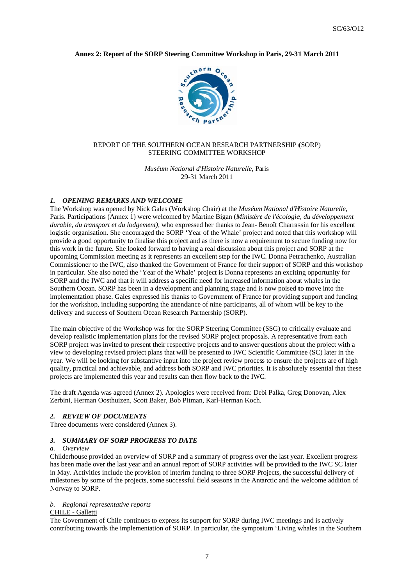## Annex 2: Report of the SORP Steering Committee Workshop in Paris, 29-31 March 2011



## REPORT OF THE SOUTHERN OCEAN RESEARCH PARTNERSHIP (SORP) STEERING COMMITTEE WORKSHOP

Muséum National d'Histoire Naturelle, Paris 29-31 March 2011

#### 1. OPENING REMARKS AND WELCOME

The Workshop was opened by Nick Gales (Workshop Chair) at the Muséum National d'Histoire Naturelle, Paris. Participations (Annex 1) were welcomed by Martine Bigan (Ministère de l'écologie, du développement durable, du transport et du lodgement), who expressed her thanks to Jean-Benoît Charrassin for his excellent logistic organisation. She encouraged the SORP 'Year of the Whale' project and noted that this workshop will provide a good opportunity to finalise this project and as there is now a requirement to secure funding now for this work in the future. She looked forward to having a real discussion about this project and SORP at the upcoming Commission meeting as it represents an excellent step for the IWC. Donna Petrachenko, Australian Commissioner to the IWC, also thanked the Government of France for their support of SORP and this workshop in particular. She also noted the 'Year of the Whale' project is Donna represents an exciting opportunity for SORP and the IWC and that it will address a specific need for increased information about whales in the Southern Ocean. SORP has been in a development and planning stage and is now poised to move into the implementation phase. Gales expressed his thanks to Government of France for providing support and funding for the workshop, including supporting the attendance of nine participants, all of whom will be key to the delivery and success of Southern Ocean Research Partnership (SORP).

The main objective of the Workshop was for the SORP Steering Committee (SSG) to critically evaluate and develop realistic implementation plans for the revised SORP project proposals. A representative from each SORP project was invited to present their respective projects and to answer questions about the project with a view to developing revised project plans that will be presented to IWC Scientific Committee (SC) later in the year. We will be looking for substantive input into the project review process to ensure the projects are of high quality, practical and achievable, and address both SORP and IWC priorities. It is absolutely essential that these projects are implemented this year and results can then flow back to the IWC.

The draft Agenda was agreed (Annex 2). Apologies were received from: Debi Palka, Greg Donovan, Alex Zerbini, Herman Oosthuizen, Scott Baker, Bob Pitman, Karl-Herman Koch.

#### 2. REVIEW OF DOCUMENTS

Three documents were considered (Annex 3).

#### 3. SUMMARY OF SORP PROGRESS TO DATE

#### a. Overview

Childerhouse provided an overview of SORP and a summary of progress over the last year. Excellent progress has been made over the last year and an annual report of SORP activities will be provided to the IWC SC later in May. Activities include the provision of interim funding to three SORP Projects, the successful delivery of milestones by some of the projects, some successful field seasons in the Antarctic and the welcome addition of Norway to SORP.

## b. Regional representative reports

#### CHILE - Galletti

The Government of Chile continues to express its support for SORP during IWC meetings and is actively contributing towards the implementation of SORP. In particular, the symposium 'Living whales in the Southern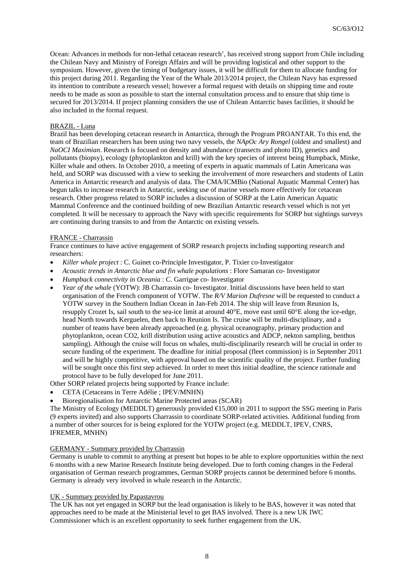Ocean: Advances in methods for non-lethal cetacean research', has received strong support from Chile including the Chilean Navy and Ministry of Foreign Affairs and will be providing logistical and other support to the symposium. However, given the timing of budgetary issues, it will be difficult for them to allocate funding for this project during 2011. Regarding the Year of the Whale 2013/2014 project, the Chilean Navy has expressed its intention to contribute a research vessel; however a formal request with details on shipping time and route needs to be made as soon as possible to start the internal consultation process and to ensure that ship time is secured for 2013/2014. If project planning considers the use of Chilean Antarctic bases facilities, it should be also included in the formal request.

## BRAZIL - Luna

Brazil has been developing cetacean research in Antarctica, through the Program PROANTAR. To this end, the team of Brazilian researchers has been using two navy vessels, the *NApOc Ary Rongel* (oldest and smallest) and *NaOCI Maximian*. Research is focused on density and abundance (transects and photo ID), genetics and pollutants (biopsy), ecology (phytoplankton and krill) with the key species of interest being Humpback, Minke, Killer whale and others. In October 2010, a meeting of experts in aquatic mammals of Latin Americana was held, and SORP was discussed with a view to seeking the involvement of more researchers and students of Latin America in Antarctic research and analysis of data. The CMA/ICMBio (National Aquatic Mammal Center) has begun talks to increase research in Antarctic, seeking use of marine vessels more effectively for cetacean research. Other progress related to SORP includes a discussion of SORP at the Latin American Aquatic Mammal Conference and the continued building of new Brazilian Antarctic research vessel which is not yet completed. It will be necessary to approach the Navy with specific requirements for SORP but sightings surveys are continuing during transits to and from the Antarctic on existing vessels.

## FRANCE - Charrassin

France continues to have active engagement of SORP research projects including supporting research and researchers:

- *Killer whale project* : C. Guinet co-Principle Investigator, P. Tixier co-Investigator
- *Acoustic trends in Antarctic blue and fin whale populations* : Flore Samaran co- Investigator
- *Humpback connectivity in Oceania* : C. Garrigue co- Investigator
- *Year of the whale* (YOTW): JB Charrassin co- Investigator. Initial discussions have been held to start organisation of the French component of YOTW. The *R/V Marion Dufresne* will be requested to conduct a YOTW survey in the Southern Indian Ocean in Jan-Feb 2014. The ship will leave from Reunion Is, resupply Crozet Is, sail south to the sea-ice limit at around 40°E, move east until 60°E along the ice-edge, head North towards Kerguelen, then back to Reunion Is. The cruise will be multi-disciplinary, and a number of teams have been already approached (e.g. physical oceanography, primary production and phytoplankton, ocean CO2, krill distribution using active acoustics and ADCP, nekton sampling, benthos sampling). Although the cruise will focus on whales, multi-disciplinarily research will be crucial in order to secure funding of the experiment. The deadline for initial proposal (fleet commission) is in September 2011 and will be highly competitive, with approval based on the scientific quality of the project. Further funding will be sought once this first step achieved. In order to meet this initial deadline, the science rationale and protocol have to be fully developed for June 2011.

Other SORP related projects being supported by France include:

- CETA (Cetaceans in Terre Adélie ; IPEV/MNHN)
- Bioregionalisation for Antarctic Marine Protected areas (SCAR)

The Ministry of Ecology (MEDDLT) generously provided €15,000 in 2011 to support the SSG meeting in Paris (9 experts invited) and also supports Charrassin to coordinate SORP-related activities. Additional funding from a number of other sources for is being explored for the YOTW project (e.g. MEDDLT, IPEV, CNRS, IFREMER, MNHN)

#### GERMANY - Summary provided by Charrassin

Germany is unable to commit to anything at present but hopes to be able to explore opportunities within the next 6 months with a new Marine Research Institute being developed. Due to forth coming changes in the Federal organisation of German research programmes, German SORP projects cannot be determined before 6 months. Germany is already very involved in whale research in the Antarctic.

#### UK - Summary provided by Papastavrou

The UK has not yet engaged in SORP but the lead organisation is likely to be BAS, however it was noted that approaches need to be made at the Ministerial level to get BAS involved. There is a new UK IWC Commissioner which is an excellent opportunity to seek further engagement from the UK.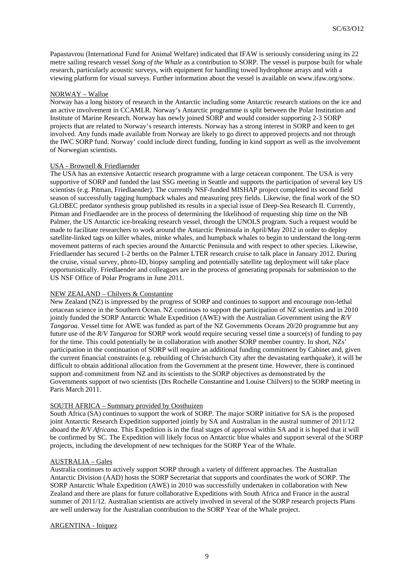Papastavrou (International Fund for Animal Welfare) indicated that IFAW is seriously considering using its 22 metre sailing research vessel *Song of the Whale* as a contribution to SORP. The vessel is purpose built for whale research, particularly acoustic surveys, with equipment for handling towed hydrophone arrays and with a viewing platform for visual surveys. Further information about the vessel is available on www.ifaw.org/sotw.

## NORWAY – Walloe

Norway has a long history of research in the Antarctic including some Antarctic research stations on the ice and an active involvement in CCAMLR. Norway's Antarctic programme is split between the Polar Institution and Institute of Marine Research. Norway has newly joined SORP and would consider supporting 2-3 SORP projects that are related to Norway's research interests. Norway has a strong interest in SORP and keen to get involved. Any funds made available from Norway are likely to go direct to approved projects and not through the IWC SORP fund. Norway' could include direct funding, funding in kind support as well as the involvement of Norwegian scientists.

#### USA - Brownell & Friedlaender

The USA has an extensive Antarctic research programme with a large cetacean component. The USA is very supportive of SORP and funded the last SSG meeting in Seattle and supports the participation of several key US scientists (e.g. Pitman, Friedlaender). The currently NSF-funded MISHAP project completed its second field season of successfully tagging humpback whales and measuring prey fields. Likewise, the final work of the SO GLOBEC predator synthesis group published its results in a special issue of Deep-Sea Research II. Currently, Pitman and Friedlaender are in the process of determining the likelihood of requesting ship time on the NB Palmer, the US Antarctic ice-breaking research vessel, through the UNOLS program. Such a request would be made to facilitate researchers to work around the Antarctic Peninsula in April/May 2012 in order to deploy satellite-linked tags on killer whales, minke whales, and humpback whales to begin to understand the long-term movement patterns of each species around the Antarctic Peninsula and with respect to other species. Likewise, Friedlaender has secured 1-2 berths on the Palmer LTER research cruise to talk place in January 2012. During the cruise, visual survey, photo-ID, biopsy sampling and potentially satellite tag deployment will take place opportunistically. Friedlaender and colleagues are in the process of generating proposals for submission to the US NSF Office of Polar Programs in June 2011.

#### NEW ZEALAND – Chilvers & Constantine

New Zealand (NZ) is impressed by the progress of SORP and continues to support and encourage non-lethal cetacean science in the Southern Ocean. NZ continues to support the participation of NZ scientists and in 2010 jointly funded the SORP Antarctic Whale Expedition (AWE) with the Australian Government using the *R/V Tangaroa*. Vessel time for AWE was funded as part of the NZ Governments Oceans 20/20 programme but any future use of the *R/V Tangaroa* for SORP work would require securing vessel time a source(s) of funding to pay for the time. This could potentially be in collaboration with another SORP member country. In short, NZs' participation in the continuation of SORP will require an additional funding commitment by Cabinet and, given the current financial constraints (e.g. rebuilding of Christchurch City after the devastating earthquake), it will be difficult to obtain additional allocation from the Government at the present time. However, there is continued support and commitment from NZ and its scientists to the SORP objectives as demonstrated by the Governments support of two scientists (Drs Rochelle Constantine and Louise Chilvers) to the SORP meeting in Paris March 2011.

## SOUTH AFRICA – Summary provided by Oosthuizen

South Africa (SA) continues to support the work of SORP. The major SORP initiative for SA is the proposed joint Antarctic Research Expedition supported jointly by SA and Australian in the austral summer of 2011/12 aboard the *R/V Africana*. This Expedition is in the final stages of approval within SA and it is hoped that it will be confirmed by SC. The Expedition will likely focus on Antarctic blue whales and support several of the SORP projects, including the development of new techniques for the SORP Year of the Whale.

#### AUSTRALIA – Gales

Australia continues to actively support SORP through a variety of different approaches. The Australian Antarctic Division (AAD) hosts the SORP Secretariat that supports and coordinates the work of SORP. The SORP Antarctic Whale Expedition (AWE) in 2010 was successfully undertaken in collaboration with New Zealand and there are plans for future collaborative Expeditions with South Africa and France in the austral summer of 2011/12. Australian scientists are actively involved in several of the SORP research projects Plans are well underway for the Australian contribution to the SORP Year of the Whale project.

#### ARGENTINA - Iniquez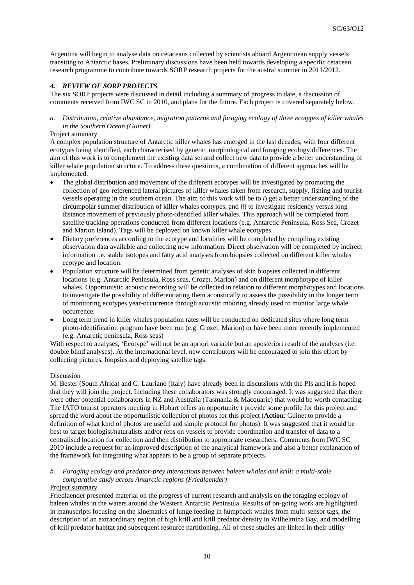Argentina will begin to analyse data on cetaceans collected by scientists aboard Argentinean supply vessels transiting to Antarctic bases. Preliminary discussions have been held towards developing a specific cetacean research programme to contribute towards SORP research projects for the austral summer in 2011/2012.

## *4. REVIEW OF SORP PROJECTS*

The six SORP projects were discussed in detail including a summary of progress to date, a discussion of comments received from IWC SC in 2010, and plans for the future. Each project is covered separately below.

## *a. Distribution, relative abundance, migration patterns and foraging ecology of three ecotypes of killer whales in the Southern Ocean (Guinet)*

#### Project summary

A complex population structure of Antarctic killer whales has emerged in the last decades, with four different ecotypes being identified, each characterised by genetic, morphological and foraging ecology differences. The aim of this work is to complement the existing data set and collect new data to provide a better understanding of killer whale population structure. To address these questions, a combination of different approaches will be implemented.

- The global distribution and movement of the different ecotypes will be investigated by promoting the collection of geo-referenced lateral pictures of killer whales taken from research, supply, fishing and tourist vessels operating in the southern ocean. The aim of this work will be to *i*) get a better understanding of the circumpolar summer distribution of killer whales ecotypes, and *ii*) to investigate residency versus long distance movement of previously photo-identified killer whales. This approach will be completed from satellite tracking operations conducted from different locations (e.g. Antarctic Peninsula, Ross Sea, Crozet and Marion Island). Tags will be deployed on known killer whale ecotypes.
- Dietary preferences according to the ecotype and localities will be completed by compiling existing observation data available and collecting new information. Direct observation will be completed by indirect information i.e. stable isotopes and fatty acid analyses from biopsies collected on different killer whales ecotype and location.
- Population structure will be determined from genetic analyses of skin biopsies collected in different locations (e.g. Antarctic Peninsula, Ross seas, Crozet, Marion) and on different morphotype of killer whales. Opportunistic acoustic recording will be collected in relation to different morphotypes and locations to investigate the possibility of differentiating them acoustically to assess the possibility in the longer term of monitoring ecotypes year-occurrence through acoustic mooring already used to monitor large whale occurrence.
- Long term trend in killer whales population rates will be conducted on dedicated sites where long term photo-identification program have been run (e.g. Crozet, Marion) or have been more recently implemented (e.g. Antarctic peninsula, Ross seas)

With respect to analyses, 'Ecotype' will not be an apriori variable but an aposteriori result of the analyses (i.e. double blind analyses). At the international level, new contributors will be encouraged to join this effort by collecting pictures, biopsies and deploying satellite tags.

#### **Discussion**

M. Bester (South Africa) and G. Lauriano (Italy) have already been in discussions with the PIs and it is hoped that they will join the project. Including these collaborators was strongly encouraged. It was suggested that there were other potential collaborators in NZ and Australia (Tasmania & Macquarie) that would be worth contacting. The IATO tourist operators meeting in Hobart offers an opportunity t provide some profile for this project and spread the word about the opportunistic collection of photos for this project (**Action**: Guinet to provide a definition of what kind of photos are useful and simple protocol for photos). It was suggested that it would be best to target biologist/naturalists and/or reps on vessels to provide coordination and transfer of data to a centralised location for collection and then distribution to appropriate researchers. Comments from IWC SC 2010 include a request for an improved description of the analytical framework and also a better explanation of the framework for integrating what appears to be a group of separate projects.

## *b. Foraging ecology and predator-prey interactions between baleen whales and krill: a multi-scale comparative study across Antarctic regions (Friedlaender)*

## Project summary

Friedlaender presented material on the progress of current research and analysis on the foraging ecology of baleen whales in the waters around the Western Antarctic Peninsula. Results of on-going work are highlighted in manuscripts focusing on the kinematics of lunge feeding in humpback whales from multi-sensor tags, the description of an extraordinary region of high krill and krill predator density in Wilhelmina Bay, and modelling of krill predator habitat and subsequent resource partitioning. All of these studies are linked in their utility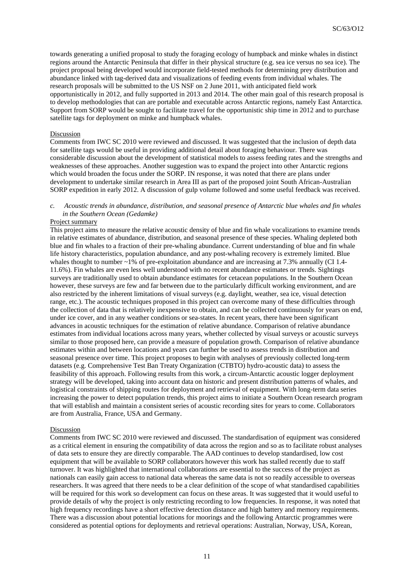towards generating a unified proposal to study the foraging ecology of humpback and minke whales in distinct regions around the Antarctic Peninsula that differ in their physical structure (e.g. sea ice versus no sea ice). The project proposal being developed would incorporate field-tested methods for determining prey distribution and abundance linked with tag-derived data and visualizations of feeding events from individual whales. The research proposals will be submitted to the US NSF on 2 June 2011, with anticipated field work opportunistically in 2012, and fully supported in 2013 and 2014. The other main goal of this research proposal is to develop methodologies that can are portable and executable across Antarctic regions, namely East Antarctica. Support from SORP would be sought to facilitate travel for the opportunistic ship time in 2012 and to purchase satellite tags for deployment on minke and humpback whales.

### Discussion

Comments from IWC SC 2010 were reviewed and discussed. It was suggested that the inclusion of depth data for satellite tags would be useful in providing additional detail about foraging behaviour. There was considerable discussion about the development of statistical models to assess feeding rates and the strengths and weaknesses of these approaches. Another suggestion was to expand the project into other Antarctic regions which would broaden the focus under the SORP. IN response, it was noted that there are plans under development to undertake similar research in Area III as part of the proposed joint South African-Australian SORP expedition in early 2012. A discussion of gulp volume followed and some useful feedback was received.

## *c. Acoustic trends in abundance, distribution, and seasonal presence of Antarctic blue whales and fin whales in the Southern Ocean (Gedamke)*

#### Project summary

This project aims to measure the relative acoustic density of blue and fin whale vocalizations to examine trends in relative estimates of abundance, distribution, and seasonal presence of these species. Whaling depleted both blue and fin whales to a fraction of their pre-whaling abundance. Current understanding of blue and fin whale life history characteristics, population abundance, and any post-whaling recovery is extremely limited. Blue whales thought to number  $\sim$ 1% of pre-exploitation abundance and are increasing at 7.3% annually (CI 1.4-11.6%). Fin whales are even less well understood with no recent abundance estimates or trends. Sightings surveys are traditionally used to obtain abundance estimates for cetacean populations. In the Southern Ocean however, these surveys are few and far between due to the particularly difficult working environment, and are also restricted by the inherent limitations of visual surveys (e.g. daylight, weather, sea ice, visual detection range, etc.). The acoustic techniques proposed in this project can overcome many of these difficulties through the collection of data that is relatively inexpensive to obtain, and can be collected continuously for years on end, under ice cover, and in any weather conditions or sea-states. In recent years, there have been significant advances in acoustic techniques for the estimation of relative abundance. Comparison of relative abundance estimates from individual locations across many years, whether collected by visual surveys or acoustic surveys similar to those proposed here, can provide a measure of population growth. Comparison of relative abundance estimates within and between locations and years can further be used to assess trends in distribution and seasonal presence over time. This project proposes to begin with analyses of previously collected long-term datasets (e.g. Comprehensive Test Ban Treaty Organization (CTBTO) hydro-acoustic data) to assess the feasibility of this approach. Following results from this work, a circum-Antarctic acoustic logger deployment strategy will be developed, taking into account data on historic and present distribution patterns of whales, and logistical constraints of shipping routes for deployment and retrieval of equipment. With long-term data series increasing the power to detect population trends, this project aims to initiate a Southern Ocean research program that will establish and maintain a consistent series of acoustic recording sites for years to come. Collaborators are from Australia, France, USA and Germany.

#### Discussion

Comments from IWC SC 2010 were reviewed and discussed. The standardisation of equipment was considered as a critical element in ensuring the compatibility of data across the region and so as to facilitate robust analyses of data sets to ensure they are directly comparable. The AAD continues to develop standardised, low cost equipment that will be available to SORP collaborators however this work has stalled recently due to staff turnover. It was highlighted that international collaborations are essential to the success of the project as nationals can easily gain access to national data whereas the same data is not so readily accessible to overseas researchers. It was agreed that there needs to be a clear definition of the scope of what standardised capabilities will be required for this work so development can focus on these areas. It was suggested that it would useful to provide details of why the project is only restricting recording to low frequencies. In response, it was noted that high frequency recordings have a short effective detection distance and high battery and memory requirements. There was a discussion about potential locations for moorings and the following Antarctic programmes were considered as potential options for deployments and retrieval operations: Australian, Norway, USA, Korean,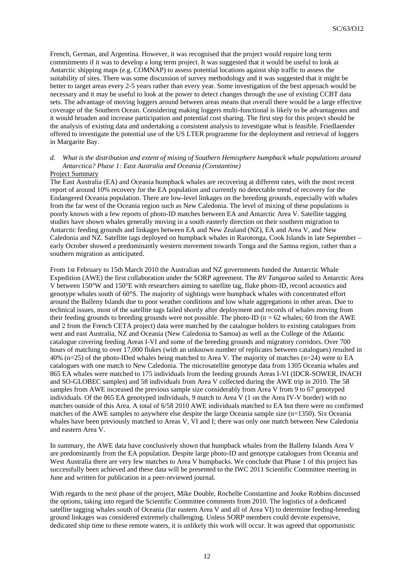French, German, and Argentina. However, it was recognised that the project would require long term commitments if it was to develop a long term project. It was suggested that it would be useful to look at Antarctic shipping maps (e.g. COMNAP) to assess potential locations against ship traffic to assess the suitability of sites. There was some discussion of survey methodology and it was suggested that it might be better to target areas every 2-5 years rather than every year. Some investigation of the best approach would be necessary and it may be useful to look at the power to detect changes through the use of existing CCBT data sets. The advantage of moving loggers around between areas means that overall there would be a large effective coverage of the Southern Ocean. Considering making loggers multi-functional is likely to be advantageous and it would broaden and increase participation and potential cost sharing. The first step for this project should be the analysis of existing data and undertaking a consistent analysis to investigate what is feasible. Friedlaender offered to investigate the potential use of the US LTER programme for the deployment and retrieval of loggers in Margarite Bay.

# *d. What is the distribution and extent of mixing of Southern Hemisphere humpback whale populations around Antarctica? Phase 1: East Australia and Oceania (Constantine)*

#### Project Summary

The East Australia (EA) and Oceania humpback whales are recovering at different rates, with the most recent report of around 10% recovery for the EA population and currently no detectable trend of recovery for the Endangered Oceania population. There are low-level linkages on the breeding grounds, especially with whales from the far west of the Oceania region such as New Caledonia. The level of mixing of these populations is poorly known with a few reports of photo-ID matches between EA and Antarctic Area V. Satellite tagging studies have shown whales generally moving in a south easterly direction on their southern migration to Antarctic feeding grounds and linkages between EA and New Zealand (NZ), EA and Area V, and New Caledonia and NZ. Satellite tags deployed on humpback whales in Rarotonga, Cook Islands in late September – early October showed a predominantly western movement towards Tonga and the Samoa region, rather than a southern migration as anticipated.

From 1st February to 15th March 2010 the Australian and NZ governments funded the Antarctic Whale Expedition (AWE) the first collaboration under the SORP agreement. The *RV Tangaroa* sailed to Antarctic Area V between 150°W and 150°E with researchers aiming to satellite tag, fluke photo-ID, record acoustics and genotype whales south of 60°S. The majority of sightings were humpback whales with concentrated effort around the Balleny Islands due to poor weather conditions and low whale aggregations in other areas. Due to technical issues, most of the satellite tags failed shortly after deployment and records of whales moving from their feeding grounds to breeding grounds were not possible. The photo-ID ( $n = 62$  whales; 60 from the AWE and 2 from the French CETA project) data were matched by the catalogue holders to existing catalogues from west and east Australia, NZ and Oceania (New Caledonia to Samoa) as well as the College of the Atlantic catalogue covering feeding Areas I-VI and some of the breeding grounds and migratory corridors. Over 700 hours of matching to over 17,000 flukes (with an unknown number of replicates between catalogues) resulted in 40% (n=25) of the photo-IDed whales being matched to Area V. The majority of matches (n=24) were to EA catalogues with one match to New Caledonia. The microsatellite genotype data from 1305 Oceania whales and 865 EA whales were matched to 175 individuals from the feeding grounds Areas I-VI (IDCR-SOWER, INACH and SO-GLOBEC samples) and 58 individuals from Area V collected during the AWE trip in 2010. The 58 samples from AWE increased the previous sample size considerably from Area V from 9 to 67 genotyped individuals. Of the 865 EA genotyped individuals, 9 match to Area V (1 on the Area IV-V border) with no matches outside of this Area. A total of 6/58 2010 AWE individuals matched to EA but there were no confirmed matches of the AWE samples to anywhere else despite the large Oceania sample size (n=1350). Six Oceania whales have been previously matched to Areas V, VI and I; there was only one match between New Caledonia and eastern Area V.

In summary, the AWE data have conclusively shown that humpback whales from the Balleny Islands Area V are predominantly from the EA population. Despite large photo-ID and genotype catalogues from Oceania and West Australia there are very few matches to Area V humpbacks. We conclude that Phase 1 of this project has successfully been achieved and these data will be presented to the IWC 2011 Scientific Committee meeting in June and written for publication in a peer-reviewed journal.

With regards to the next phase of the project, Mike Double, Rochelle Constantine and Jooke Robbins discussed the options, taking into regard the Scientific Committee comments from 2010. The logistics of a dedicated satellite tagging whales south of Oceania (far eastern Area V and all of Area VI) to determine feeding-breeding ground linkages was considered extremely challenging. Unless SORP members could devote expensive, dedicated ship time to these remote waters, it is unlikely this work will occur. It was agreed that opportunistic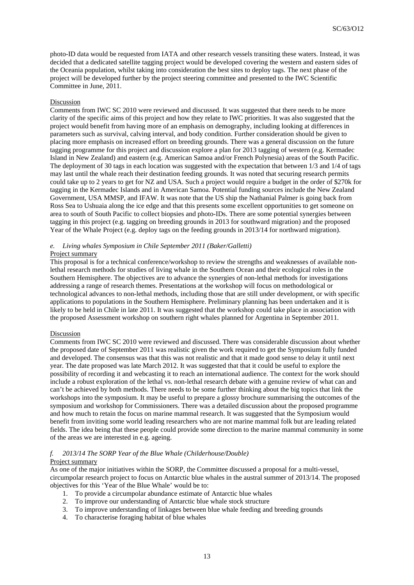photo-ID data would be requested from IATA and other research vessels transiting these waters. Instead, it was decided that a dedicated satellite tagging project would be developed covering the western and eastern sides of the Oceania population, whilst taking into consideration the best sites to deploy tags. The next phase of the project will be developed further by the project steering committee and presented to the IWC Scientific Committee in June, 2011.

## Discussion

Comments from IWC SC 2010 were reviewed and discussed. It was suggested that there needs to be more clarity of the specific aims of this project and how they relate to IWC priorities. It was also suggested that the project would benefit from having more of an emphasis on demography, including looking at differences in parameters such as survival, calving interval, and body condition. Further consideration should be given to placing more emphasis on increased effort on breeding grounds. There was a general discussion on the future tagging programme for this project and discussion explore a plan for 2013 tagging of western (e.g. Kermadec Island in New Zealand) and eastern (e.g. American Samoa and/or French Polynesia) areas of the South Pacific. The deployment of 30 tags in each location was suggested with the expectation that between 1/3 and 1/4 of tags may last until the whale reach their destination feeding grounds. It was noted that securing research permits could take up to 2 years to get for NZ and USA. Such a project would require a budget in the order of \$270k for tagging in the Kermadec Islands and in American Samoa. Potential funding sources include the New Zealand Government, USA MMSP, and IFAW. It was note that the US ship the Nathanial Palmer is going back from Ross Sea to Ushuaia along the ice edge and that this presents some excellent opportunities to get someone on area to south of South Pacific to collect biopsies and photo-IDs. There are some potential synergies between tagging in this project (e.g. tagging on breeding grounds in 2013 for southward migration) and the proposed Year of the Whale Project (e.g. deploy tags on the feeding grounds in 2013/14 for northward migration).

#### *e. Living whales Symposium in Chile September 2011 (Baker/Galletti)*  Project summary

This proposal is for a technical conference/workshop to review the strengths and weaknesses of available nonlethal research methods for studies of living whale in the Southern Ocean and their ecological roles in the Southern Hemisphere. The objectives are to advance the synergies of non-lethal methods for investigations addressing a range of research themes. Presentations at the workshop will focus on methodological or technological advances to non-lethal methods, including those that are still under development, or with specific applications to populations in the Southern Hemisphere. Preliminary planning has been undertaken and it is likely to be held in Chile in late 2011. It was suggested that the workshop could take place in association with the proposed Assessment workshop on southern right whales planned for Argentina in September 2011.

#### Discussion

Comments from IWC SC 2010 were reviewed and discussed. There was considerable discussion about whether the proposed date of September 2011 was realistic given the work required to get the Symposium fully funded and developed. The consensus was that this was not realistic and that it made good sense to delay it until next year. The date proposed was late March 2012. It was suggested that that it could be useful to explore the possibility of recording it and webcasting it to reach an international audience. The context for the work should include a robust exploration of the lethal vs. non-lethal research debate with a genuine review of what can and can't be achieved by both methods. There needs to be some further thinking about the big topics that link the workshops into the symposium. It may be useful to prepare a glossy brochure summarising the outcomes of the symposium and workshop for Commissioners. There was a detailed discussion about the proposed programme and how much to retain the focus on marine mammal research. It was suggested that the Symposium would benefit from inviting some world leading researchers who are not marine mammal folk but are leading related fields. The idea being that these people could provide some direction to the marine mammal community in some of the areas we are interested in e.g. ageing.

## *f. 2013/14 The SORP Year of the Blue Whale (Childerhouse/Double)*  Project summary

As one of the major initiatives within the SORP, the Committee discussed a proposal for a multi-vessel, circumpolar research project to focus on Antarctic blue whales in the austral summer of 2013/14. The proposed objectives for this 'Year of the Blue Whale' would be to:

- 1. To provide a circumpolar abundance estimate of Antarctic blue whales
- 2. To improve our understanding of Antarctic blue whale stock structure
- 3. To improve understanding of linkages between blue whale feeding and breeding grounds
- 4. To characterise foraging habitat of blue whales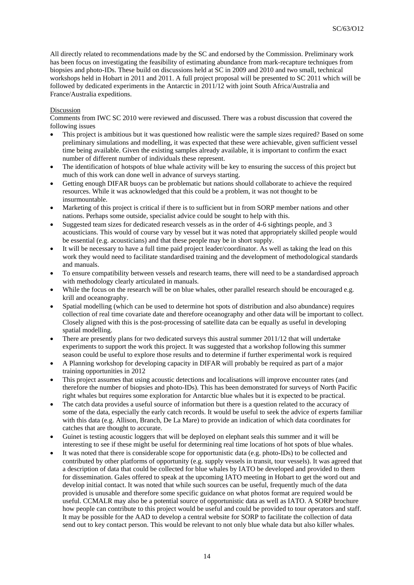All directly related to recommendations made by the SC and endorsed by the Commission. Preliminary work has been focus on investigating the feasibility of estimating abundance from mark-recapture techniques from biopsies and photo-IDs. These build on discussions held at SC in 2009 and 2010 and two small, technical workshops held in Hobart in 2011 and 2011. A full project proposal will be presented to SC 2011 which will be followed by dedicated experiments in the Antarctic in 2011/12 with joint South Africa/Australia and France/Australia expeditions.

## **Discussion**

Comments from IWC SC 2010 were reviewed and discussed. There was a robust discussion that covered the following issues

- This project is ambitious but it was questioned how realistic were the sample sizes required? Based on some preliminary simulations and modelling, it was expected that these were achievable, given sufficient vessel time being available. Given the existing samples already available, it is important to confirm the exact number of different number of individuals these represent.
- The identification of hotspots of blue whale activity will be key to ensuring the success of this project but much of this work can done well in advance of surveys starting.
- Getting enough DIFAR buoys can be problematic but nations should collaborate to achieve the required resources. While it was acknowledged that this could be a problem, it was not thought to be insurmountable.
- Marketing of this project is critical if there is to sufficient but in from SORP member nations and other nations. Perhaps some outside, specialist advice could be sought to help with this.
- Suggested team sizes for dedicated research vessels as in the order of 4-6 sightings people, and 3 acousticians. This would of course vary by vessel but it was noted that appropriately skilled people would be essential (e.g. acousticians) and that these people may be in short supply.
- It will be necessary to have a full time paid project leader/coordinator. As well as taking the lead on this work they would need to facilitate standardised training and the development of methodological standards and manuals.
- To ensure compatibility between vessels and research teams, there will need to be a standardised approach with methodology clearly articulated in manuals.
- While the focus on the research will be on blue whales, other parallel research should be encouraged e.g. krill and oceanography.
- Spatial modelling (which can be used to determine hot spots of distribution and also abundance) requires collection of real time covariate date and therefore oceanography and other data will be important to collect. Closely aligned with this is the post-processing of satellite data can be equally as useful in developing spatial modelling.
- There are presently plans for two dedicated surveys this austral summer 2011/12 that will undertake experiments to support the work this project. It was suggested that a workshop following this summer season could be useful to explore those results and to determine if further experimental work is required
- A Planning workshop for developing capacity in DIFAR will probably be required as part of a major training opportunities in 2012
- This project assumes that using acoustic detections and localisations will improve encounter rates (and therefore the number of biopsies and photo-IDs). This has been demonstrated for surveys of North Pacific right whales but requires some exploration for Antarctic blue whales but it is expected to be practical.
- The catch data provides a useful source of information but there is a question related to the accuracy of some of the data, especially the early catch records. It would be useful to seek the advice of experts familiar with this data (e.g. Allison, Branch, De La Mare) to provide an indication of which data coordinates for catches that are thought to accurate.
- Guinet is testing acoustic loggers that will be deployed on elephant seals this summer and it will be interesting to see if these might be useful for determining real time locations of hot spots of blue whales.
- It was noted that there is considerable scope for opportunistic data (e.g. photo-IDs) to be collected and contributed by other platforms of opportunity (e.g. supply vessels in transit, tour vessels). It was agreed that a description of data that could be collected for blue whales by IATO be developed and provided to them for dissemination. Gales offered to speak at the upcoming IATO meeting in Hobart to get the word out and develop initial contact. It was noted that while such sources can be useful, frequently much of the data provided is unusable and therefore some specific guidance on what photos format are required would be useful. CCMALR may also be a potential source of opportunistic data as well as IATO. A SORP brochure how people can contribute to this project would be useful and could be provided to tour operators and staff. It may be possible for the AAD to develop a central website for SORP to facilitate the collection of data send out to key contact person. This would be relevant to not only blue whale data but also killer whales.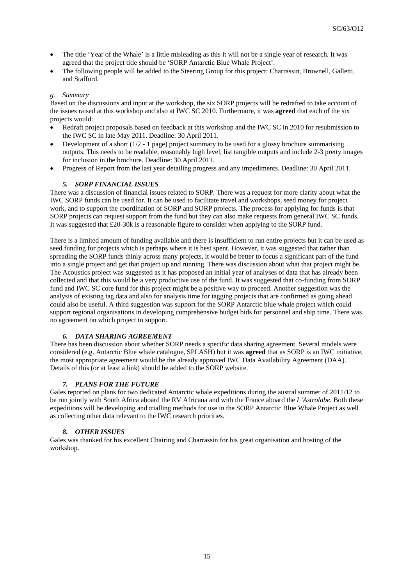- The title 'Year of the Whale' is a little misleading as this it will not be a single year of research. It was agreed that the project title should be 'SORP Antarctic Blue Whale Project'.
- The following people will be added to the Steering Group for this project: Charrassin, Brownell, Galletti, and Stafford.

## *g. Summary*

Based on the discussions and input at the workshop, the six SORP projects will be redrafted to take account of the issues raised at this workshop and also at IWC SC 2010. Furthermore, it was **agreed** that each of the six projects would:

- Redraft project proposals based on feedback at this workshop and the IWC SC in 2010 for resubmission to the IWC SC in late May 2011. Deadline: 30 April 2011.
- Development of a short  $(1/2 1)$  page) project summary to be used for a glossy brochure summarising outputs. This needs to be readable, reasonably high level, list tangible outputs and include 2-3 pretty images for inclusion in the brochure. Deadline: 30 April 2011.
- Progress of Report from the last year detailing progress and any impediments. Deadline: 30 April 2011.

## *5. SORP FINANCIAL ISSUES*

There was a discussion of financial issues related to SORP. There was a request for more clarity about what the IWC SORP funds can be used for. It can be used to facilitate travel and workshops, seed money for project work, and to support the coordination of SORP and SORP projects. The process for applying for funds is that SORP projects can request support from the fund but they can also make requests from general IWC SC funds. It was suggested that £20-30k is a reasonable figure to consider when applying to the SORP fund.

There is a limited amount of funding available and there is insufficient to run entire projects but it can be used as seed funding for projects which is perhaps where it is best spent. However, it was suggested that rather than spreading the SORP funds thinly across many projects, it would be better to focus a significant part of the fund into a single project and get that project up and running. There was discussion about what that project might be. The Acoustics project was suggested as it has proposed an initial year of analyses of data that has already been collected and that this would be a very productive use of the fund. It was suggested that co-funding from SORP fund and IWC SC core fund for this project might be a positive way to proceed. Another suggestion was the analysis of existing tag data and also for analysis time for tagging projects that are confirmed as going ahead could also be useful. A third suggestion was support for the SORP Antarctic blue whale project which could support regional organisations in developing comprehensive budget bids for personnel and ship time. There was no agreement on which project to support.

## *6. DATA SHARING AGREEMENT*

There has been discussion about whether SORP needs a specific data sharing agreement. Several models were considered (e.g. Antarctic Blue whale catalogue, SPLASH) but it was **agreed** that as SORP is an IWC initiative, the most appropriate agreement would be the already approved IWC Data Availability Agreement (DAA). Details of this (or at least a link) should be added to the SORP website.

## *7. PLANS FOR THE FUTURE*

Gales reported on plans for two dedicated Antarctic whale expeditions during the austral summer of 2011/12 to be run jointly with South Africa aboard the RV Africana and with the France aboard the *L'Astrolabe*. Both these expeditions will be developing and trialling methods for use in the SORP Antarctic Blue Whale Project as well as collecting other data relevant to the IWC research priorities.

## *8. OTHER ISSUES*

Gales was thanked for his excellent Chairing and Charrassin for his great organisation and hosting of the workshop.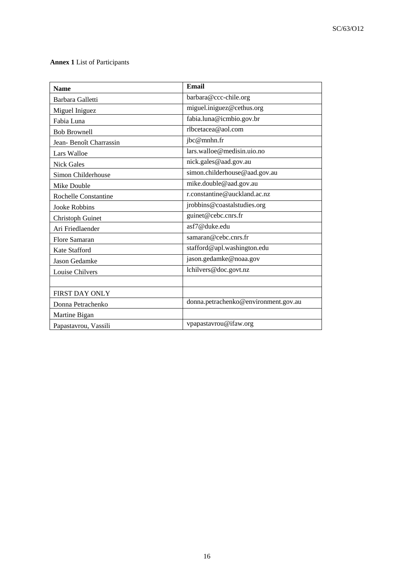# **Annex 1** List of Participants

| <b>Name</b>             | Email                                |
|-------------------------|--------------------------------------|
| Barbara Galletti        | barbara@ccc-chile.org                |
| Miguel Iniguez          | miguel.iniguez@cethus.org            |
| Fabia Luna              | fabia.luna@icmbio.gov.br             |
| <b>Bob Brownell</b>     | rlbcetacea@aol.com                   |
| Jean-Benoît Charrassin  | jbc@mnhn.fr                          |
| Lars Walloe             | lars.walloe@medisin.uio.no           |
| <b>Nick Gales</b>       | nick.gales@aad.gov.au                |
| Simon Childerhouse      | simon.childerhouse@aad.gov.au        |
| Mike Double             | mike.double@aad.gov.au               |
| Rochelle Constantine    | r.constantine@auckland.ac.nz         |
| Jooke Robbins           | jrobbins@coastalstudies.org          |
| <b>Christoph Guinet</b> | guinet@cebc.cnrs.fr                  |
| Ari Friedlaender        | asf7@duke.edu                        |
| Flore Samaran           | samaran@cebc.cnrs.fr                 |
| Kate Stafford           | stafford@apl.washington.edu          |
| Jason Gedamke           | jason.gedamke@noaa.gov               |
| Louise Chilvers         | lchilvers@doc.govt.nz                |
|                         |                                      |
| FIRST DAY ONLY          |                                      |
| Donna Petrachenko       | donna.petrachenko@environment.gov.au |
| Martine Bigan           |                                      |
| Papastavrou, Vassili    | vpapastavrou@ifaw.org                |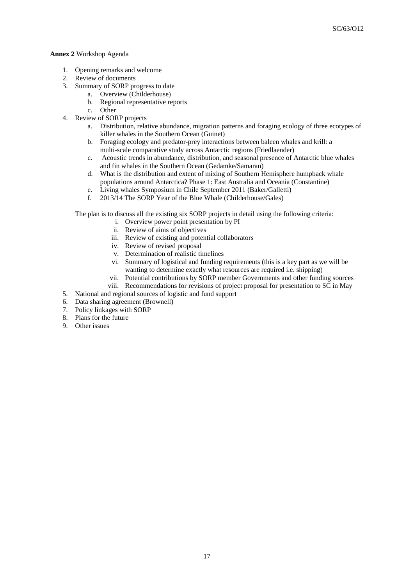## **Annex 2** Workshop Agenda

- 1. Opening remarks and welcome
- 2. Review of documents
- 3. Summary of SORP progress to date
	- a. Overview (Childerhouse)
		- b. Regional representative reports
		- c. Other
- 4. Review of SORP projects
	- a. Distribution, relative abundance, migration patterns and foraging ecology of three ecotypes of killer whales in the Southern Ocean (Guinet)
	- b. Foraging ecology and predator-prey interactions between baleen whales and krill: a multi-scale comparative study across Antarctic regions (Friedlaender)
	- c. Acoustic trends in abundance, distribution, and seasonal presence of Antarctic blue whales and fin whales in the Southern Ocean (Gedamke/Samaran)
	- d. What is the distribution and extent of mixing of Southern Hemisphere humpback whale populations around Antarctica? Phase 1: East Australia and Oceania (Constantine)
	- e. Living whales Symposium in Chile September 2011 (Baker/Galletti)
	- f. 2013/14 The SORP Year of the Blue Whale (Childerhouse/Gales)

The plan is to discuss all the existing six SORP projects in detail using the following criteria:

- i. Overview power point presentation by PI
- ii. Review of aims of objectives
- iii. Review of existing and potential collaborators
- iv. Review of revised proposal
- v. Determination of realistic timelines
- vi. Summary of logistical and funding requirements (this is a key part as we will be wanting to determine exactly what resources are required i.e. shipping)
- vii. Potential contributions by SORP member Governments and other funding sources
- viii. Recommendations for revisions of project proposal for presentation to SC in May
- 5. National and regional sources of logistic and fund support
- 6. Data sharing agreement (Brownell)
- 7. Policy linkages with SORP
- 8. Plans for the future
- 9. Other issues